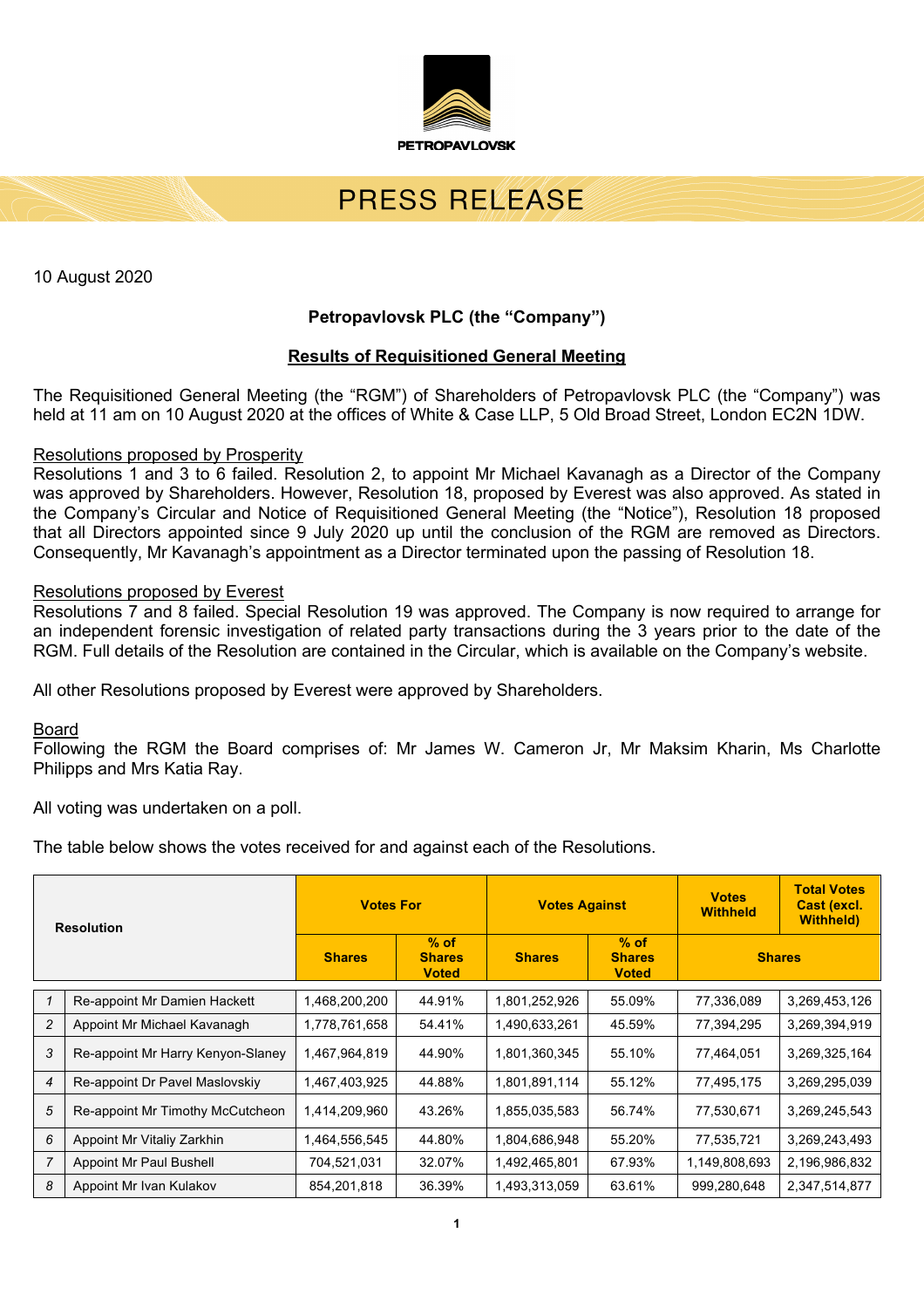

# PRESS REVEASE

10 August 2020

# **Petropavlovsk PLC (the "Company")**

## **Results of Requisitioned General Meeting**

The Requisitioned General Meeting (the "RGM") of Shareholders of Petropavlovsk PLC (the "Company") was held at 11 am on 10 August 2020 at the offices of White & Case LLP, 5 Old Broad Street, London EC2N 1DW.

#### Resolutions proposed by Prosperity

Resolutions 1 and 3 to 6 failed. Resolution 2, to appoint Mr Michael Kavanagh as a Director of the Company was approved by Shareholders. However, Resolution 18, proposed by Everest was also approved. As stated in the Company's Circular and Notice of Requisitioned General Meeting (the "Notice"), Resolution 18 proposed that all Directors appointed since 9 July 2020 up until the conclusion of the RGM are removed as Directors. Consequently, Mr Kavanagh's appointment as a Director terminated upon the passing of Resolution 18.

#### Resolutions proposed by Everest

Resolutions 7 and 8 failed. Special Resolution 19 was approved. The Company is now required to arrange for an independent forensic investigation of related party transactions during the 3 years prior to the date of the RGM. Full details of the Resolution are contained in the Circular, which is available on the Company's website.

All other Resolutions proposed by Everest were approved by Shareholders.

Board

Following the RGM the Board comprises of: Mr James W. Cameron Jr, Mr Maksim Kharin, Ms Charlotte Philipps and Mrs Katia Ray.

All voting was undertaken on a poll.

The table below shows the votes received for and against each of the Resolutions.

| <b>Resolution</b> |                                   | <b>Votes For</b> |                                         | <b>Votes Against</b> |                                         | <b>Votes</b><br><b>Withheld</b> | <b>Total Votes</b><br>Cast (excl.<br><b>Withheld</b> ) |
|-------------------|-----------------------------------|------------------|-----------------------------------------|----------------------|-----------------------------------------|---------------------------------|--------------------------------------------------------|
|                   |                                   | <b>Shares</b>    | $%$ of<br><b>Shares</b><br><b>Voted</b> | <b>Shares</b>        | $%$ of<br><b>Shares</b><br><b>Voted</b> | <b>Shares</b>                   |                                                        |
|                   | Re-appoint Mr Damien Hackett      | 1,468,200,200    | 44.91%                                  | 1,801,252,926        | 55.09%                                  | 77,336,089                      | 3,269,453,126                                          |
| 2                 | Appoint Mr Michael Kavanagh       | 1,778,761,658    | 54.41%                                  | 1,490,633,261        | 45.59%                                  | 77,394,295                      | 3,269,394,919                                          |
| 3                 | Re-appoint Mr Harry Kenyon-Slaney | 1,467,964,819    | 44.90%                                  | 1,801,360,345        | 55.10%                                  | 77,464,051                      | 3,269,325,164                                          |
| 4                 | Re-appoint Dr Pavel Maslovskiy    | 1,467,403,925    | 44.88%                                  | 1,801,891,114        | 55.12%                                  | 77,495,175                      | 3,269,295,039                                          |
| 5                 | Re-appoint Mr Timothy McCutcheon  | 1,414,209,960    | 43.26%                                  | 1,855,035,583        | 56.74%                                  | 77,530,671                      | 3,269,245,543                                          |
| 6                 | Appoint Mr Vitaliy Zarkhin        | 1,464,556,545    | 44.80%                                  | 1,804,686,948        | 55.20%                                  | 77,535,721                      | 3,269,243,493                                          |
| 7                 | <b>Appoint Mr Paul Bushell</b>    | 704,521,031      | 32.07%                                  | 1,492,465,801        | 67.93%                                  | 1,149,808,693                   | 2,196,986,832                                          |
| 8                 | Appoint Mr Ivan Kulakov           | 854,201,818      | 36.39%                                  | 1,493,313,059        | 63.61%                                  | 999,280,648                     | 2,347,514,877                                          |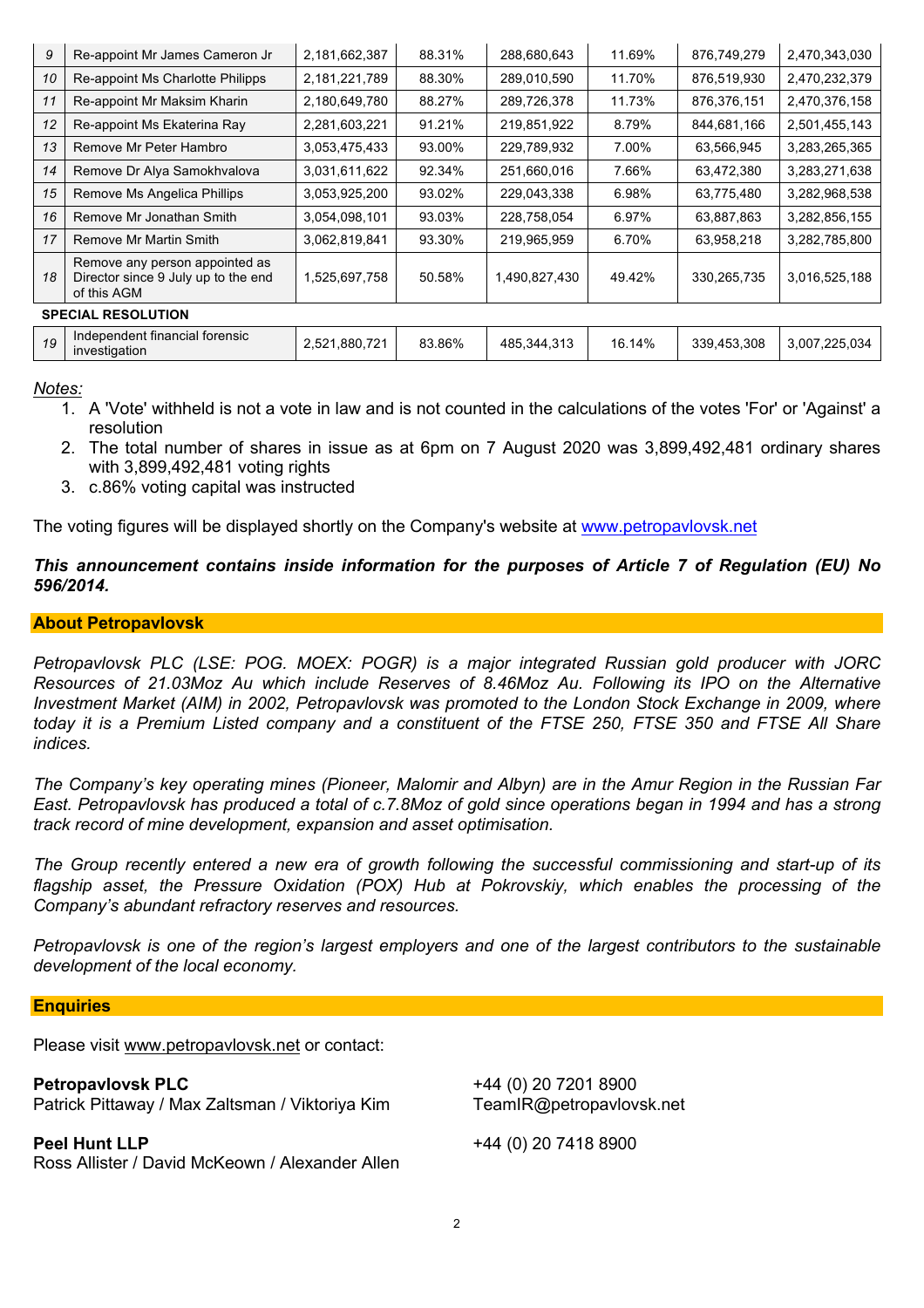| 9                         | Re-appoint Mr James Cameron Jr                                                       | 2,181,662,387 | 88.31% | 288,680,643   | 11.69% | 876,749,279 | 2,470,343,030 |
|---------------------------|--------------------------------------------------------------------------------------|---------------|--------|---------------|--------|-------------|---------------|
| 10                        | Re-appoint Ms Charlotte Philipps                                                     | 2,181,221,789 | 88.30% | 289,010,590   | 11.70% | 876,519,930 | 2,470,232,379 |
| 11                        | Re-appoint Mr Maksim Kharin                                                          | 2,180,649,780 | 88.27% | 289,726,378   | 11.73% | 876,376,151 | 2,470,376,158 |
| 12                        | Re-appoint Ms Ekaterina Ray                                                          | 2,281,603,221 | 91.21% | 219,851,922   | 8.79%  | 844,681,166 | 2,501,455,143 |
| 13                        | Remove Mr Peter Hambro                                                               | 3,053,475,433 | 93.00% | 229,789,932   | 7.00%  | 63,566,945  | 3,283,265,365 |
| 14                        | Remove Dr Alya Samokhvalova                                                          | 3,031,611,622 | 92.34% | 251,660,016   | 7.66%  | 63,472,380  | 3,283,271,638 |
| 15                        | Remove Ms Angelica Phillips                                                          | 3,053,925,200 | 93.02% | 229,043,338   | 6.98%  | 63,775,480  | 3,282,968,538 |
| 16                        | Remove Mr Jonathan Smith                                                             | 3,054,098,101 | 93.03% | 228,758,054   | 6.97%  | 63,887,863  | 3,282,856,155 |
| 17                        | Remove Mr Martin Smith                                                               | 3,062,819,841 | 93.30% | 219,965,959   | 6.70%  | 63,958,218  | 3,282,785,800 |
| 18                        | Remove any person appointed as<br>Director since 9 July up to the end<br>of this AGM | 1,525,697,758 | 50.58% | 1,490,827,430 | 49.42% | 330,265,735 | 3,016,525,188 |
| <b>SPECIAL RESOLUTION</b> |                                                                                      |               |        |               |        |             |               |
| 19                        | Independent financial forensic<br>investigation                                      | 2,521,880,721 | 83.86% | 485,344,313   | 16.14% | 339,453,308 | 3,007,225,034 |

*Notes:*

- 1. A 'Vote' withheld is not a vote in law and is not counted in the calculations of the votes 'For' or 'Against' a resolution
- 2. The total number of shares in issue as at 6pm on 7 August 2020 was 3,899,492,481 ordinary shares with 3,899,492,481 voting rights
- 3. c.86% voting capital was instructed

The voting figures will be displayed shortly on the Company's website at www.petropavlovsk.net

## *This announcement contains inside information for the purposes of Article 7 of Regulation (EU) No 596/2014.*

### **About Petropavlovsk**

*Petropavlovsk PLC (LSE: POG. MOEX: POGR) is a major integrated Russian gold producer with JORC Resources of 21.03Moz Au which include Reserves of 8.46Moz Au. Following its IPO on the Alternative Investment Market (AIM) in 2002, Petropavlovsk was promoted to the London Stock Exchange in 2009, where* today it is a Premium Listed company and a constituent of the FTSE 250. FTSE 350 and FTSE All Share *indices.*

The Company's key operating mines (Pioneer, Malomir and Albyn) are in the Amur Region in the Russian Far East. Petropavlovsk has produced a total of c.7.8Moz of gold since operations began in 1994 and has a strong *track record of mine development, expansion and asset optimisation.*

*The Group recently entered a new era of growth following the successful commissioning and start-up of its flagship asset, the Pressure Oxidation (POX) Hub at Pokrovskiy, which enables the processing of the Company's abundant refractory reserves and resources.*

Petropavlovsk is one of the region's largest employers and one of the largest contributors to the sustainable *development of the local economy.*

#### **Enquiries**

Please visit www.petropavlovsk.net or contact:

| <b>Petropavlovsk PLC</b>                                                | +44 (0) 20 7201 8900     |
|-------------------------------------------------------------------------|--------------------------|
| Patrick Pittaway / Max Zaltsman / Viktoriya Kim                         | TeamIR@petropavlovsk.net |
| <b>Peel Hunt LLP</b><br>Ross Allister / David McKeown / Alexander Allen | +44 (0) 20 7418 8900     |